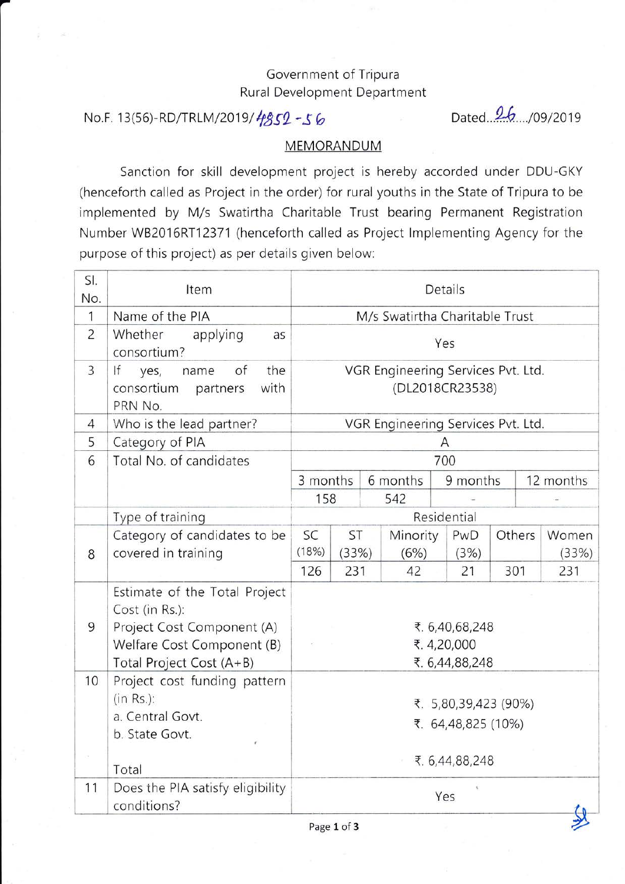## Government of Tripura Rural Development Department

## No.F. 13(56)-RD/TRLM/2019/ $4852 - 56$

Dated. 26..../09/2019

## **MEMORANDUM**

Sanction for skill development project is hereby accorded under DDU-GKY (henceforth called as Project in the order) for rural youths in the State of Tripura to be implemented by M/s Swatirtha Charitable Trust bearing Permanent Registration Number W82016RT12371 (henceforth called as Project lmplementing Agency for the purpose of this project) as per details given below:

| SI.<br>No.     | Item                                                                                                                                    |                                                       | Details      |            |            |          |        |              |  |
|----------------|-----------------------------------------------------------------------------------------------------------------------------------------|-------------------------------------------------------|--------------|------------|------------|----------|--------|--------------|--|
| 1              | Name of the PIA                                                                                                                         | M/s Swatirtha Charitable Trust                        |              |            |            |          |        |              |  |
| $\overline{2}$ | Whether<br>applying<br>as<br>consortium?                                                                                                | Yes                                                   |              |            |            |          |        |              |  |
| $\overline{3}$ | of<br>the<br>lf<br>yes,<br>name<br>consortium<br>with<br>partners<br>PRN No.                                                            | VGR Engineering Services Pvt. Ltd.<br>(DL2018CR23538) |              |            |            |          |        |              |  |
| 4              | Who is the lead partner?                                                                                                                | VGR Engineering Services Pvt. Ltd.                    |              |            |            |          |        |              |  |
| 5              | Category of PIA                                                                                                                         | Α                                                     |              |            |            |          |        |              |  |
| 6              | Total No. of candidates                                                                                                                 | 700                                                   |              |            |            |          |        |              |  |
|                |                                                                                                                                         | 3 months                                              |              | 6 months   |            | 9 months |        | 12 months    |  |
|                |                                                                                                                                         | 158                                                   |              | 542        |            |          |        |              |  |
|                | Type of training                                                                                                                        | Residential                                           |              |            |            |          |        |              |  |
|                | Category of candidates to be                                                                                                            | SC<br>(18%)                                           | ST           | Minority   | PwD        |          | Others | Women        |  |
| 8              | covered in training                                                                                                                     | 126                                                   | (33%)<br>231 | (6%)<br>42 | (3%)<br>21 | 301      |        | (33%)<br>231 |  |
| 9              | Estimate of the Total Project<br>Cost (in Rs.):<br>Project Cost Component (A)<br>Welfare Cost Component (B)<br>Total Project Cost (A+B) | ₹. 6,40,68,248<br>₹. 4,20,000<br>₹. 6,44,88,248       |              |            |            |          |        |              |  |
| 10             | Project cost funding pattern<br>$(in Rs.)$ :<br>a. Central Govt.<br>b. State Govt.                                                      | ₹. 5,80,39,423 (90%)<br>₹. 64,48,825 (10%)            |              |            |            |          |        |              |  |
|                | Total                                                                                                                                   | ₹. 6,44,88,248                                        |              |            |            |          |        |              |  |
| 11             | Does the PIA satisfy eligibility<br>conditions?                                                                                         | Yes                                                   |              |            |            |          |        |              |  |
|                |                                                                                                                                         |                                                       | Page 1 of 3  |            |            |          |        |              |  |

Page 1 of 3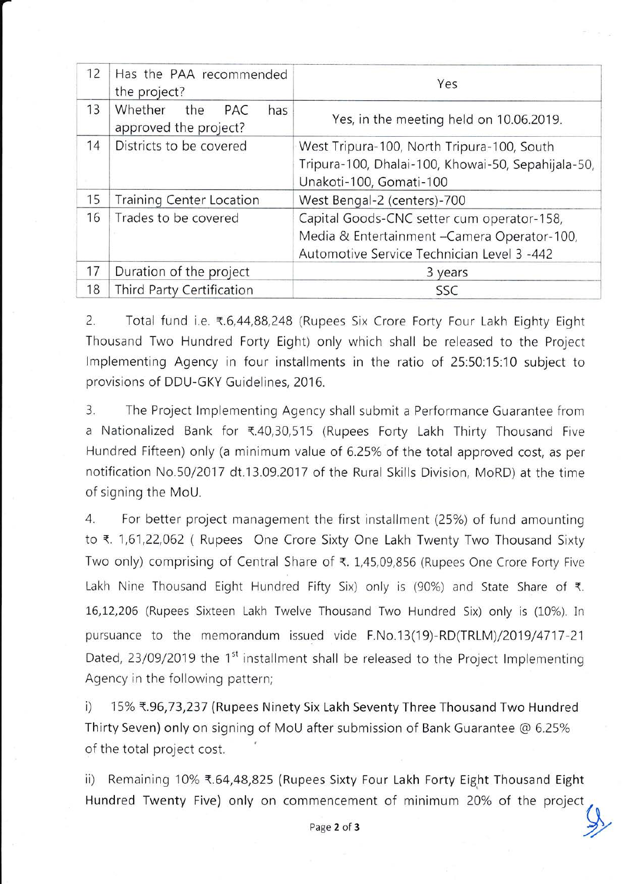| 12 | Has the PAA recommended<br>the project?               | Yes                                                                                                                                      |  |  |
|----|-------------------------------------------------------|------------------------------------------------------------------------------------------------------------------------------------------|--|--|
| 13 | Whether<br>the<br>PAC<br>has<br>approved the project? | Yes, in the meeting held on 10.06.2019.                                                                                                  |  |  |
| 14 | Districts to be covered                               | West Tripura-100, North Tripura-100, South<br>Tripura-100, Dhalai-100, Khowai-50, Sepahijala-50,<br>Unakoti-100, Gomati-100              |  |  |
| 15 | <b>Training Center Location</b>                       | West Bengal-2 (centers)-700                                                                                                              |  |  |
| 16 | Trades to be covered                                  | Capital Goods-CNC setter cum operator-158,<br>Media & Entertainment - Camera Operator-100,<br>Automotive Service Technician Level 3 -442 |  |  |
| 17 | Duration of the project                               | 3 years                                                                                                                                  |  |  |
| 18 | Third Party Certification                             | SSC                                                                                                                                      |  |  |

2. Total fund i.e. ₹.6,44,88,248 (Rupees Six Crore Forty Four Lakh Eighty Eight Thousand Two Hundred Forty Eight) only which shall be released to the Project Implementing Agency in four installments in the ratio of 25:50:15:10 subject to provisions of DDU-GKY Guidelines, 2016.

3. The Project lmplementing Agency shall submit a Performance Guarantee from a Nationalized Bank for ₹.40,30,515 (Rupees Forty Lakh Thirty Thousand Five Hundred Fifteen) only (a minimum value of 6.25% of the total approved cost, as per notification No.50/2017 dt.13.09.2017 of the Rural Skills Division, MoRD) at the time of signinq the MoU.

4. For better project management the first installment (25%) of fund amounting to ₹. 1,61,22,062 ( Rupees One Crore Sixty One Lakh Twenty Two Thousand Sixty Two only) comprising of Central Share of ₹. 1,45,09,856 (Rupees One Crore Forty Five Lakh Nine Thousand Eight Hundred Fifty Six) only is (90%) and State Share of  $\bar{\tau}$ . 16,12,206 (Rupees Sixteen Lakh Twelve Thousand Two Hundred Six) only is (10%). In pursuance to the memorandum issued vide F.No.13(19)-RD(TRLM)/2019/4717-21 Dated, 23/09/2019 the 1<sup>st</sup> installment shall be released to the Project Implementing Agency in the following pattern;

i) 15% ₹.96,73,237 (Rupees Ninety Six Lakh Seventy Three Thousand Two Hundred Thirty Seven) only on signing of MoU after submission of Bank Guarantee @ 6.25% of the total project cost.

ii) Remaining 10% ₹.64,48,825 (Rupees Sixty Four Lakh Forty Eight Thousand Eight Hundred Twenty Five) only on commencement of minimum 20% of the project, Page 2 of 3